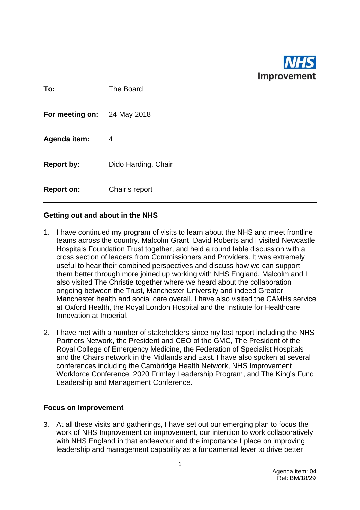

| To:               | The Board           |
|-------------------|---------------------|
| For meeting on:   | 24 May 2018         |
| Agenda item:      | 4                   |
| <b>Report by:</b> | Dido Harding, Chair |
| <b>Report on:</b> | Chair's report      |

## **Getting out and about in the NHS**

- 1. I have continued my program of visits to learn about the NHS and meet frontline teams across the country. Malcolm Grant, David Roberts and I visited Newcastle Hospitals Foundation Trust together, and held a round table discussion with a cross section of leaders from Commissioners and Providers. It was extremely useful to hear their combined perspectives and discuss how we can support them better through more joined up working with NHS England. Malcolm and I also visited The Christie together where we heard about the collaboration ongoing between the Trust, Manchester University and indeed Greater Manchester health and social care overall. I have also visited the CAMHs service at Oxford Health, the Royal London Hospital and the Institute for Healthcare Innovation at Imperial.
- 2. I have met with a number of stakeholders since my last report including the NHS Partners Network, the President and CEO of the GMC, The President of the Royal College of Emergency Medicine, the Federation of Specialist Hospitals and the Chairs network in the Midlands and East. I have also spoken at several conferences including the Cambridge Health Network, NHS Improvement Workforce Conference, 2020 Frimley Leadership Program, and The King's Fund Leadership and Management Conference.

## **Focus on Improvement**

3. At all these visits and gatherings, I have set out our emerging plan to focus the work of NHS Improvement on improvement, our intention to work collaboratively with NHS England in that endeavour and the importance I place on improving leadership and management capability as a fundamental lever to drive better